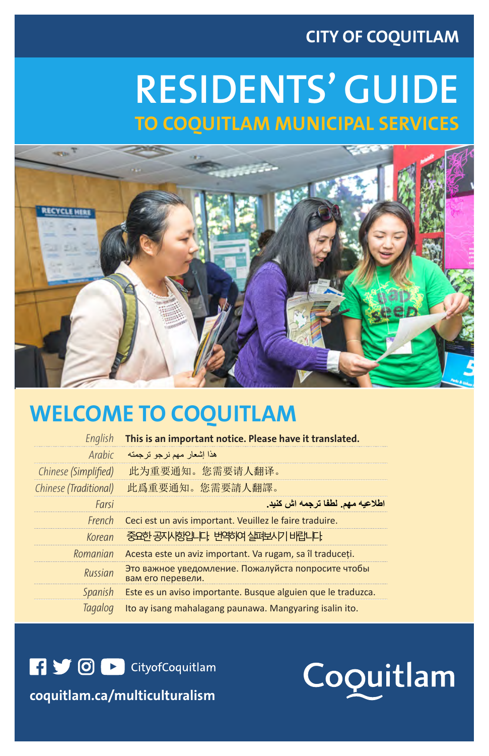## **CITY OF COQUITLAM**

# **RESIDENTS' GUIDE TO COQUITLAM MUNICIPAL SERVICES**



# **WELCOME TO COQUITLAM Important Information**

**English This is an important notice. Please have it translated.** 

| هذا إشعار مهم نرجو ترجمته<br>Arabic<br>此为重要通知。您需要请人翻译。<br>此爲重要通知。您需要請人翻譯。<br>Farsi<br>Ceci est un avis important. Veuillez le faire traduire.<br>French<br>중요한 공자사항입니다. 번약하여 실패보시기 바랍니다.<br><b>Korean</b><br>Acesta este un aviz important. Va rugam, sa îl traduceți.<br>Romanian<br>Это важное уведомление. Пожалуйста попросите чтобы<br>Russian<br>вам его перевели.<br>Spanish<br>Este es un aviso importante. Busque alguien que le traduzca.<br>Ito ay isang mahalagang paunawa. Mangyaring isalin ito.<br><b>Tagalog</b> |                       |                                  |
|----------------------------------------------------------------------------------------------------------------------------------------------------------------------------------------------------------------------------------------------------------------------------------------------------------------------------------------------------------------------------------------------------------------------------------------------------------------------------------------------------------------------------------|-----------------------|----------------------------------|
|                                                                                                                                                                                                                                                                                                                                                                                                                                                                                                                                  |                       |                                  |
|                                                                                                                                                                                                                                                                                                                                                                                                                                                                                                                                  | Chinese (Simplified)  |                                  |
|                                                                                                                                                                                                                                                                                                                                                                                                                                                                                                                                  | Chinese (Traditional) |                                  |
|                                                                                                                                                                                                                                                                                                                                                                                                                                                                                                                                  |                       | اطلاعيه مهم. لطفا ترجمه اش كنيد. |
|                                                                                                                                                                                                                                                                                                                                                                                                                                                                                                                                  |                       |                                  |
|                                                                                                                                                                                                                                                                                                                                                                                                                                                                                                                                  |                       |                                  |
|                                                                                                                                                                                                                                                                                                                                                                                                                                                                                                                                  |                       |                                  |
|                                                                                                                                                                                                                                                                                                                                                                                                                                                                                                                                  |                       |                                  |
|                                                                                                                                                                                                                                                                                                                                                                                                                                                                                                                                  |                       |                                  |
|                                                                                                                                                                                                                                                                                                                                                                                                                                                                                                                                  |                       |                                  |

**COD** CityofCoquitlam

comulticulturalism | CityofCoquitlam.ca/multiculturalism | CityofCoquitlam.ca/multiculturalism | CityofCoquitl

Coquitlam

**coquitlam.ca/multiculturalism**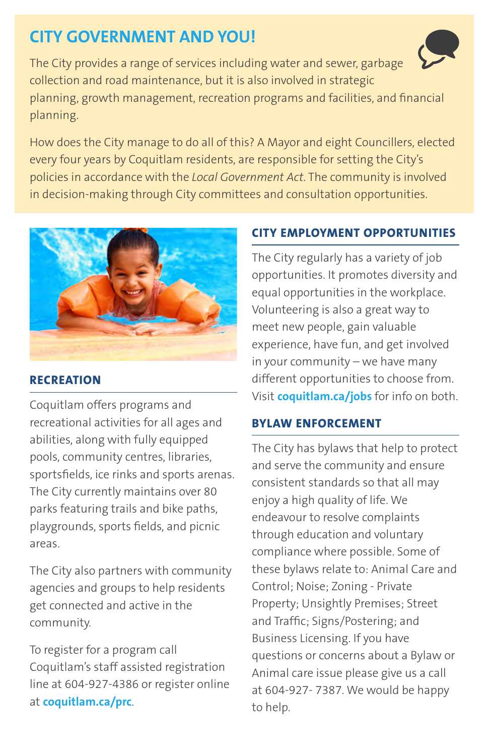# **CITY GOVERNMENT AND YOU!**

The City provides a range of services including water and sewer, garbage collection and road maintenance, but it is also involved in strategic planning, growth management, recreation programs and facilities, and financial planning.

How does the City manage to do all of this? A Mayor and eight Councillers, elected every four years by Coquitlam residents, are responsible for setting the City's policies in accordance with the *Local Government Act*. The community is involved in decision-making through City committees and consultation opportunities.



## **RECREATION**

Coquitlam offers programs and recreational activities for all ages and abilities, along with fully equipped pools, community centres, libraries, sportsfields, ice rinks and sports arenas. The City currently maintains over 80 parks featuring trails and bike paths, playgrounds, sports fields, and picnic areas.

The City also partners with community agencies and groups to help residents get connected and active in the community.

To register for a program call Coquitlam's staff assisted registration line at 604-927-4386 or register online at **coquitlam.ca/prc**.

## **CITY EMPLOYMENT OPPORTUNITIES**

The City regularly has a variety of job opportunities. It promotes diversity and equal opportunities in the workplace. Volunteering is also a great way to meet new people, gain valuable experience, have fun, and get involved in your community – we have many different opportunities to choose from. Visit **coquitlam.ca/jobs** for info on both.

## **BYLAW ENFORCEMENT**

The City has bylaws that help to protect and serve the community and ensure consistent standards so that all may enjoy a high quality of life. We endeavour to resolve complaints through education and voluntary compliance where possible. Some of these bylaws relate to: Animal Care and Control; Noise; Zoning - Private Property; Unsightly Premises; Street and Traffic; Signs/Postering; and Business Licensing. If you have questions or concerns about a Bylaw or Animal care issue please give us a call at 604-927- 7387. We would be happy to help.

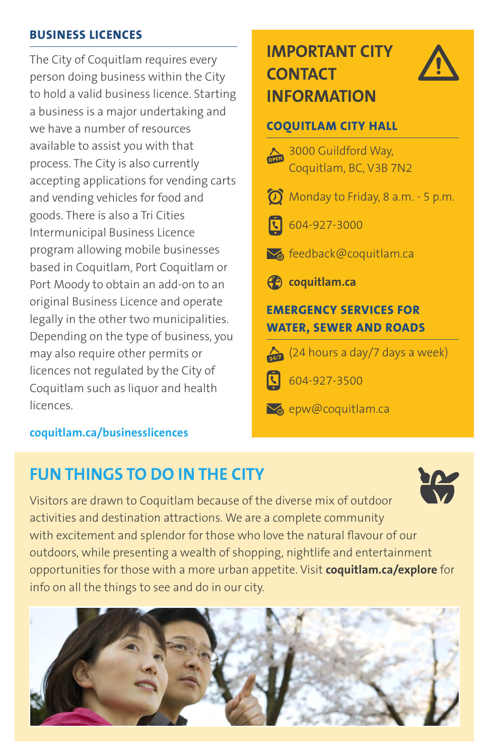#### **BUSINESS LICENCES**

The City of Coquitlam requires every person doing business within the City to hold a valid business licence. Starting a business is a major undertaking and we have a number of resources available to assist you with that process. The City is also currently accepting applications for vending carts and vending vehicles for food and goods. There is also a Tri Cities Intermunicipal Business Licence program allowing mobile businesses based in Coquitlam, Port Coquitlam or Port Moody to obtain an add-on to an original Business Licence and operate legally in the other two municipalities. Depending on the type of business, you may also require other permits or licences not regulated by the City of Coquitlam such as liquor and health licences.

## **coquitlam.ca/businesslicences**

## **IMPORTANT CITY CONTACT INFORMATION**



## **COQUITLAM CITY HALL**

3000 Guildford Way, Coquitlam, BC, V3B 7N2 Monday to Friday, 8 a.m. - 5 p.m. 604-927-3000 **M** feedback@coquitlam.ca **coquitlam.ca EMERGENCY SERVICES FOR WATER, SEWER AND ROADS**  $\sum$  (24 hours a day/7 days a week) ति 604-927-3500 **S**epw@coquitlam.ca

# **FUN THINGS TO DO IN THE CITY**



Visitors are drawn to Coquitlam because of the diverse mix of outdoor activities and destination attractions. We are a complete community with excitement and splendor for those who love the natural flavour of our outdoors, while presenting a wealth of shopping, nightlife and entertainment opportunities for those with a more urban appetite. Visit **coquitlam.ca/explore** for info on all the things to see and do in our city.

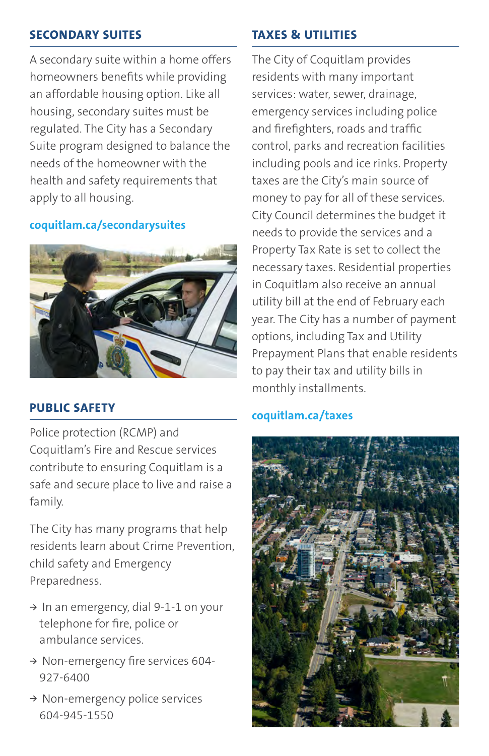## **SECONDARY SUITES**

A secondary suite within a home offers homeowners benefits while providing an affordable housing option. Like all housing, secondary suites must be regulated. The City has a Secondary Suite program designed to balance the needs of the homeowner with the health and safety requirements that apply to all housing.

#### **coquitlam.ca/secondarysuites**



## **PUBLIC SAFETY**

Police protection (RCMP) and Coquitlam's Fire and Rescue services contribute to ensuring Coquitlam is a safe and secure place to live and raise a family.

The City has many programs that help residents learn about Crime Prevention, child safety and Emergency Preparedness.

- **<sup>&</sup>gt;** In an emergency, dial 9-1-1 on your telephone for fire, police or ambulance services.
- **<sup>&</sup>gt;** Non-emergency fire services 604- 927-6400
- **<sup>&</sup>gt;** Non-emergency police services 604-945-1550

## **TAXES & UTILITIES**

The City of Coquitlam provides residents with many important services: water, sewer, drainage, emergency services including police and firefighters, roads and traffic control, parks and recreation facilities including pools and ice rinks. Property taxes are the City's main source of money to pay for all of these services. City Council determines the budget it needs to provide the services and a Property Tax Rate is set to collect the necessary taxes. Residential properties in Coquitlam also receive an annual utility bill at the end of February each year. The City has a number of payment options, including Tax and Utility Prepayment Plans that enable residents to pay their tax and utility bills in monthly installments.

## **coquitlam.ca/taxes**

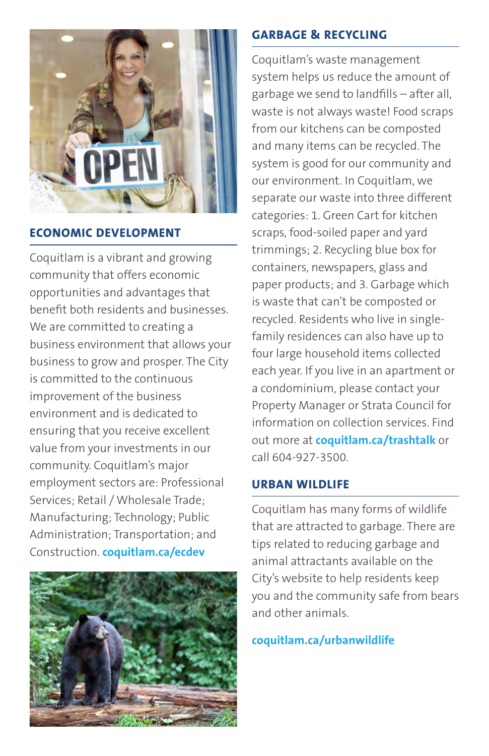

## **ECONOMIC DEVELOPMENT**

Coquitlam is a vibrant and growing community that offers economic opportunities and advantages that benefit both residents and businesses. We are committed to creating a business environment that allows your business to grow and prosper. The City is committed to the continuous improvement of the business environment and is dedicated to ensuring that you receive excellent value from your investments in our community. Coquitlam's major employment sectors are: Professional Services; Retail / Wholesale Trade; Manufacturing; Technology; Public Administration; Transportation; and Construction. **coquitlam.ca/ecdev**



## **GARBAGE & RECYCLING**

Coquitlam's waste management system helps us reduce the amount of garbage we send to landfills – after all, waste is not always waste! Food scraps from our kitchens can be composted and many items can be recycled. The system is good for our community and our environment. In Coquitlam, we separate our waste into three different categories: 1. Green Cart for kitchen scraps, food-soiled paper and yard trimmings; 2. Recycling blue box for containers, newspapers, glass and paper products; and 3. Garbage which is waste that can't be composted or recycled. Residents who live in singlefamily residences can also have up to four large household items collected each year. If you live in an apartment or a condominium, please contact your Property Manager or Strata Council for information on collection services. Find out more at **coquitlam.ca/trashtalk** or call 604-927-3500.

## **URBAN WILDLIFE**

Coquitlam has many forms of wildlife that are attracted to garbage. There are tips related to reducing garbage and animal attractants available on the City's website to help residents keep you and the community safe from bears and other animals.

## **coquitlam.ca/urbanwildlife**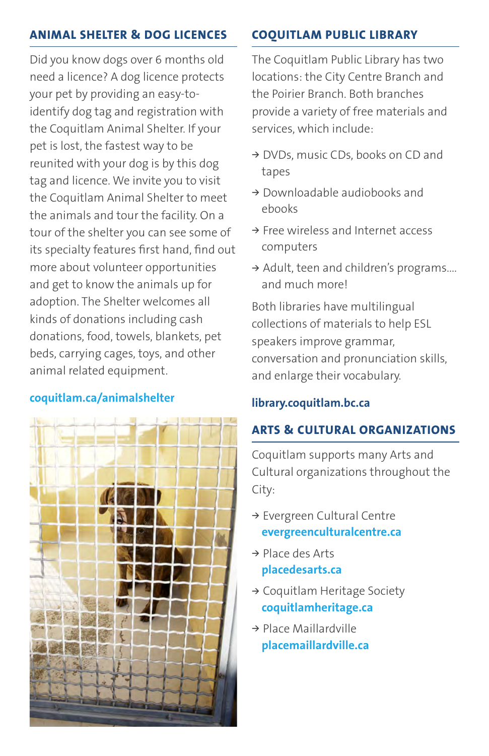## **ANIMAL SHELTER & DOG LICENCES**

Did you know dogs over 6 months old need a licence? A dog licence protects your pet by providing an easy-toidentify dog tag and registration with the Coquitlam Animal Shelter. If your pet is lost, the fastest way to be reunited with your dog is by this dog tag and licence. We invite you to visit the Coquitlam Animal Shelter to meet the animals and tour the facility. On a tour of the shelter you can see some of its specialty features first hand, find out more about volunteer opportunities and get to know the animals up for adoption. The Shelter welcomes all kinds of donations including cash donations, food, towels, blankets, pet beds, carrying cages, toys, and other animal related equipment.

## **coquitlam.ca/animalshelter**



## **COQUITLAM PUBLIC LIBRARY**

The Coquitlam Public Library has two locations: the City Centre Branch and the Poirier Branch. Both branches provide a variety of free materials and services, which include:

- **<sup>&</sup>gt;** DVDs, music CDs, books on CD and tapes
- **<sup>&</sup>gt;** Downloadable audiobooks and ebooks
- **<sup>&</sup>gt;** Free wireless and Internet access computers
- **<sup>&</sup>gt;** Adult, teen and children's programs.... and much more!

Both libraries have multilingual collections of materials to help ESL speakers improve grammar, conversation and pronunciation skills, and enlarge their vocabulary.

## **library.coquitlam.bc.ca**

## **ARTS & CULTURAL ORGANIZATIONS**

Coquitlam supports many Arts and Cultural organizations throughout the City:

- **<sup>&</sup>gt;** Evergreen Cultural Centre **evergreenculturalcentre.ca**
- **<sup>&</sup>gt;** Place des Arts **placedesarts.ca**
- **<sup>&</sup>gt;** Coquitlam Heritage Society **coquitlamheritage.ca**
- **<sup>&</sup>gt;** Place Maillardville **placemaillardville.ca**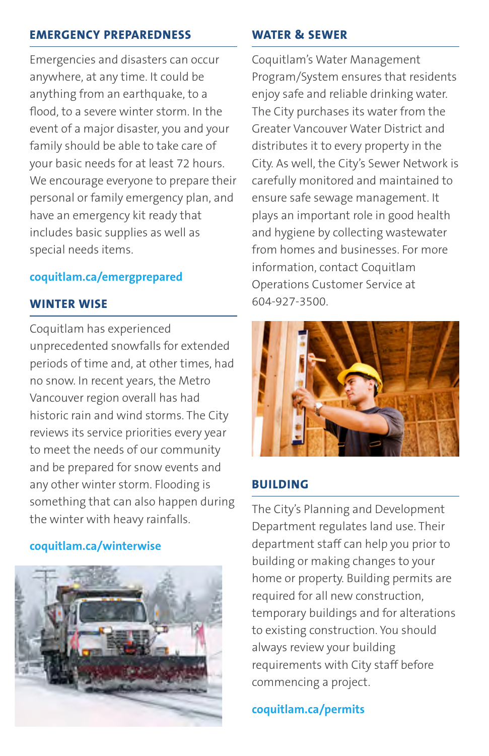#### **EMERGENCY PREPAREDNESS**

Emergencies and disasters can occur anywhere, at any time. It could be anything from an earthquake, to a flood, to a severe winter storm. In the event of a major disaster, you and your family should be able to take care of your basic needs for at least 72 hours. We encourage everyone to prepare their personal or family emergency plan, and have an emergency kit ready that includes basic supplies as well as special needs items.

#### **coquitlam.ca/emergprepared**

#### **WINTER WISE**

Coquitlam has experienced unprecedented snowfalls for extended periods of time and, at other times, had no snow. In recent years, the Metro Vancouver region overall has had historic rain and wind storms. The City reviews its service priorities every year to meet the needs of our community and be prepared for snow events and any other winter storm. Flooding is something that can also happen during the winter with heavy rainfalls.

#### **coquitlam.ca/winterwise**



#### **WATER & SEWER**

Coquitlam's Water Management Program/System ensures that residents enjoy safe and reliable drinking water. The City purchases its water from the Greater Vancouver Water District and distributes it to every property in the City. As well, the City's Sewer Network is carefully monitored and maintained to ensure safe sewage management. It plays an important role in good health and hygiene by collecting wastewater from homes and businesses. For more information, contact Coquitlam Operations Customer Service at 604-927-3500.



#### **BUILDING**

The City's Planning and Development Department regulates land use. Their department staff can help you prior to building or making changes to your home or property. Building permits are required for all new construction, temporary buildings and for alterations to existing construction. You should always review your building requirements with City staff before commencing a project.

**coquitlam.ca/permits**